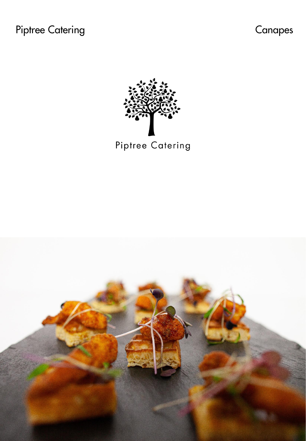

Piptree Catering

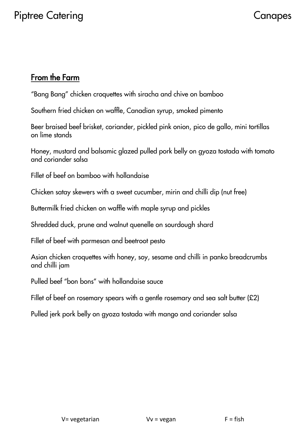## From the Farm

"Bang Bang" chicken croquettes with siracha and chive on bamboo

Southern fried chicken on waffle, Canadian syrup, smoked pimento

Beer braised beef brisket, coriander, pickled pink onion, pico de gallo, mini tortillas on lime stands

Honey, mustard and balsamic glazed pulled pork belly on gyoza tostada with tomato and coriander salsa

Fillet of beef on bamboo with hollandaise

Chicken satay skewers with a sweet cucumber, mirin and chilli dip (nut free)

Buttermilk fried chicken on waffle with maple syrup and pickles

Shredded duck, prune and walnut quenelle on sourdough shard

Fillet of beef with parmesan and beetroot pesto

Asian chicken croquettes with honey, soy, sesame and chilli in panko breadcrumbs and chilli jam

Pulled beef "bon bons" with hollandaise sauce

Fillet of beef on rosemary spears with a gentle rosemary and sea salt butter (£2)

Pulled jerk pork belly on gyoza tostada with mango and coriander salsa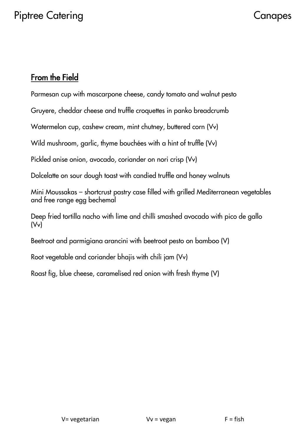## From the Field

Parmesan cup with mascarpone cheese, candy tomato and walnut pesto

Gruyere, cheddar cheese and truffle croquettes in panko breadcrumb

Watermelon cup, cashew cream, mint chutney, buttered corn (Vv)

Wild mushroom, garlic, thyme bouchées with a hint of truffle (Vv)

Pickled anise onion, avocado, coriander on nori crisp (Vv)

Dolcelatte on sour dough toast with candied truffle and honey walnuts

Mini Moussakas – shortcrust pastry case filled with grilled Mediterranean vegetables and free range egg bechemal

Deep fried tortilla nacho with lime and chilli smashed avocado with pico de gallo (Vv)

Beetroot and parmigiana arancini with beetroot pesto on bamboo (V)

Root vegetable and coriander bhajis with chili jam (Vv)

Roast fig, blue cheese, caramelised red onion with fresh thyme (V)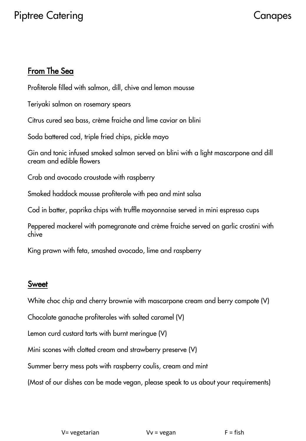# Piptree Catering **Canadian Canadian Canadian Canadian Canadian Canadian Canadian Canadian Canadian Canadian Canadian Canadian Canadian Canadian Canadian Canadian Canadian Canadian Canadian Canadian Canadian Canadian Canadi**

## From The Sea

Profiterole filled with salmon, dill, chive and lemon mousse

Teriyaki salmon on rosemary spears

Citrus cured sea bass, crème fraiche and lime caviar on blini

Soda battered cod, triple fried chips, pickle mayo

Gin and tonic infused smoked salmon served on blini with a light mascarpone and dill cream and edible flowers

Crab and avocado croustade with raspberry

Smoked haddock mousse profiterole with pea and mint salsa

Cod in batter, paprika chips with truffle mayonnaise served in mini espresso cups

Peppered mackerel with pomegranate and crème fraiche served on garlic crostini with chive

King prawn with feta, smashed avocado, lime and raspberry

### Sweet

White choc chip and cherry brownie with mascarpone cream and berry compote (V)

Chocolate ganache profiteroles with salted caramel (V)

Lemon curd custard tarts with burnt meringue (V)

Mini scones with clotted cream and strawberry preserve (V)

Summer berry mess pots with raspberry coulis, cream and mint

(Most of our dishes can be made vegan, please speak to us about your requirements)